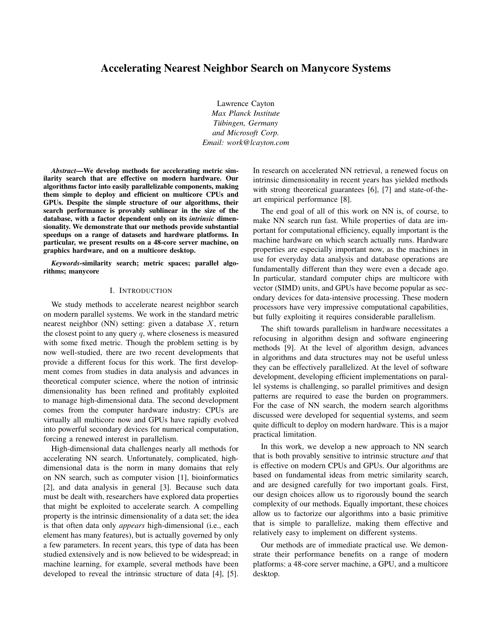# Accelerating Nearest Neighbor Search on Manycore Systems

Lawrence Cayton *Max Planck Institute Tubingen, Germany ¨ and Microsoft Corp. Email: work@lcayton.com*

*Abstract*—We develop methods for accelerating metric similarity search that are effective on modern hardware. Our algorithms factor into easily parallelizable components, making them simple to deploy and efficient on multicore CPUs and GPUs. Despite the simple structure of our algorithms, their search performance is provably sublinear in the size of the database, with a factor dependent only on its *intrinsic* dimensionality. We demonstrate that our methods provide substantial speedups on a range of datasets and hardware platforms. In particular, we present results on a 48-core server machine, on graphics hardware, and on a multicore desktop.

*Keywords*-similarity search; metric spaces; parallel algorithms; manycore

# I. INTRODUCTION

We study methods to accelerate nearest neighbor search on modern parallel systems. We work in the standard metric nearest neighbor (NN) setting: given a database  $X$ , return the closest point to any query  $q$ , where closeness is measured with some fixed metric. Though the problem setting is by now well-studied, there are two recent developments that provide a different focus for this work. The first development comes from studies in data analysis and advances in theoretical computer science, where the notion of intrinsic dimensionality has been refined and profitably exploited to manage high-dimensional data. The second development comes from the computer hardware industry: CPUs are virtually all multicore now and GPUs have rapidly evolved into powerful secondary devices for numerical computation, forcing a renewed interest in parallelism.

High-dimensional data challenges nearly all methods for accelerating NN search. Unfortunately, complicated, highdimensional data is the norm in many domains that rely on NN search, such as computer vision [1], bioinformatics [2], and data analysis in general [3]. Because such data must be dealt with, researchers have explored data properties that might be exploited to accelerate search. A compelling property is the intrinsic dimensionality of a data set; the idea is that often data only *appears* high-dimensional (i.e., each element has many features), but is actually governed by only a few parameters. In recent years, this type of data has been studied extensively and is now believed to be widespread; in machine learning, for example, several methods have been developed to reveal the intrinsic structure of data [4], [5]. In research on accelerated NN retrieval, a renewed focus on intrinsic dimensionality in recent years has yielded methods with strong theoretical guarantees [6], [7] and state-of-theart empirical performance [8].

The end goal of all of this work on NN is, of course, to make NN search run fast. While properties of data are important for computational efficiency, equally important is the machine hardware on which search actually runs. Hardware properties are especially important now, as the machines in use for everyday data analysis and database operations are fundamentally different than they were even a decade ago. In particular, standard computer chips are multicore with vector (SIMD) units, and GPUs have become popular as secondary devices for data-intensive processing. These modern processors have very impressive computational capabilities, but fully exploiting it requires considerable parallelism.

The shift towards parallelism in hardware necessitates a refocusing in algorithm design and software engineering methods [9]. At the level of algorithm design, advances in algorithms and data structures may not be useful unless they can be effectively parallelized. At the level of software development, developing efficient implementations on parallel systems is challenging, so parallel primitives and design patterns are required to ease the burden on programmers. For the case of NN search, the modern search algorithms discussed were developed for sequential systems, and seem quite difficult to deploy on modern hardware. This is a major practical limitation.

In this work, we develop a new approach to NN search that is both provably sensitive to intrinsic structure *and* that is effective on modern CPUs and GPUs. Our algorithms are based on fundamental ideas from metric similarity search, and are designed carefully for two important goals. First, our design choices allow us to rigorously bound the search complexity of our methods. Equally important, these choices allow us to factorize our algorithms into a basic primitive that is simple to parallelize, making them effective and relatively easy to implement on different systems.

Our methods are of immediate practical use. We demonstrate their performance benefits on a range of modern platforms: a 48-core server machine, a GPU, and a multicore desktop.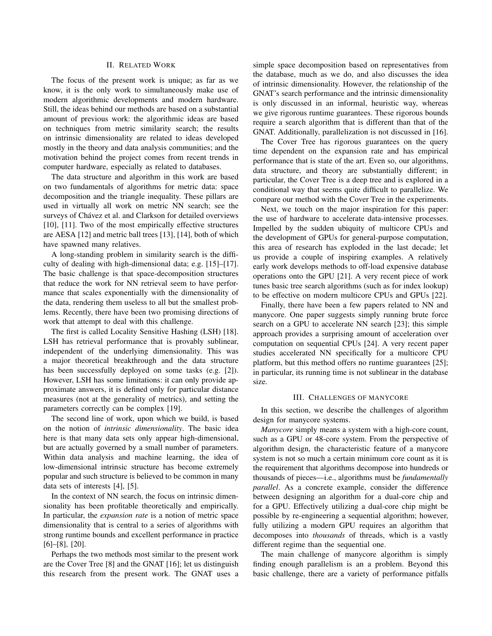# II. RELATED WORK

The focus of the present work is unique; as far as we know, it is the only work to simultaneously make use of modern algorithmic developments and modern hardware. Still, the ideas behind our methods are based on a substantial amount of previous work: the algorithmic ideas are based on techniques from metric similarity search; the results on intrinsic dimensionality are related to ideas developed mostly in the theory and data analysis communities; and the motivation behind the project comes from recent trends in computer hardware, especially as related to databases.

The data structure and algorithm in this work are based on two fundamentals of algorithms for metric data: space decomposition and the triangle inequality. These pillars are used in virtually all work on metric NN search; see the surveys of Chávez et al. and Clarkson for detailed overviews [10], [11]. Two of the most empirically effective structures are AESA [12] and metric ball trees [13], [14], both of which have spawned many relatives.

A long-standing problem in similarity search is the difficulty of dealing with high-dimensional data; e.g. [15]–[17]. The basic challenge is that space-decomposition structures that reduce the work for NN retrieval seem to have performance that scales exponentially with the dimensionality of the data, rendering them useless to all but the smallest problems. Recently, there have been two promising directions of work that attempt to deal with this challenge.

The first is called Locality Sensitive Hashing (LSH) [18]. LSH has retrieval performance that is provably sublinear, independent of the underlying dimensionality. This was a major theoretical breakthrough and the data structure has been successfully deployed on some tasks (e.g. [2]). However, LSH has some limitations: it can only provide approximate answers, it is defined only for particular distance measures (not at the generality of metrics), and setting the parameters correctly can be complex [19].

The second line of work, upon which we build, is based on the notion of *intrinsic dimensionality*. The basic idea here is that many data sets only appear high-dimensional, but are actually governed by a small number of parameters. Within data analysis and machine learning, the idea of low-dimensional intrinsic structure has become extremely popular and such structure is believed to be common in many data sets of interests [4], [5].

In the context of NN search, the focus on intrinsic dimensionality has been profitable theoretically and empirically. In particular, the *expansion rate* is a notion of metric space dimensionality that is central to a series of algorithms with strong runtime bounds and excellent performance in practice [6]–[8], [20].

Perhaps the two methods most similar to the present work are the Cover Tree [8] and the GNAT [16]; let us distinguish this research from the present work. The GNAT uses a simple space decomposition based on representatives from the database, much as we do, and also discusses the idea of intrinsic dimensionality. However, the relationship of the GNAT's search performance and the intrinsic dimensionality is only discussed in an informal, heuristic way, whereas we give rigorous runtime guarantees. These rigorous bounds require a search algorithm that is different than that of the GNAT. Additionally, parallelization is not discussed in [16].

The Cover Tree has rigorous guarantees on the query time dependent on the expansion rate and has empirical performance that is state of the art. Even so, our algorithms, data structure, and theory are substantially different; in particular, the Cover Tree is a deep tree and is explored in a conditional way that seems quite difficult to parallelize. We compare our method with the Cover Tree in the experiments.

Next, we touch on the major inspiration for this paper: the use of hardware to accelerate data-intensive processes. Impelled by the sudden ubiquity of multicore CPUs and the development of GPUs for general-purpose computation, this area of research has exploded in the last decade; let us provide a couple of inspiring examples. A relatively early work develops methods to off-load expensive database operations onto the GPU [21]. A very recent piece of work tunes basic tree search algorithms (such as for index lookup) to be effective on modern multicore CPUs and GPUs [22].

Finally, there have been a few papers related to NN and manycore. One paper suggests simply running brute force search on a GPU to accelerate NN search [23]; this simple approach provides a surprising amount of acceleration over computation on sequential CPUs [24]. A very recent paper studies accelerated NN specifically for a multicore CPU platform, but this method offers no runtime guarantees [25]; in particular, its running time is not sublinear in the database size.

#### III. CHALLENGES OF MANYCORE

In this section, we describe the challenges of algorithm design for manycore systems.

*Manycore* simply means a system with a high-core count, such as a GPU or 48-core system. From the perspective of algorithm design, the characteristic feature of a manycore system is not so much a certain minimum core count as it is the requirement that algorithms decompose into hundreds or thousands of pieces—i.e., algorithms must be *fundamentally parallel*. As a concrete example, consider the difference between designing an algorithm for a dual-core chip and for a GPU. Effectively utilizing a dual-core chip might be possible by re-engineering a sequential algorithm; however, fully utilizing a modern GPU requires an algorithm that decomposes into *thousands* of threads, which is a vastly different regime than the sequential one.

The main challenge of manycore algorithm is simply finding enough parallelism is an a problem. Beyond this basic challenge, there are a variety of performance pitfalls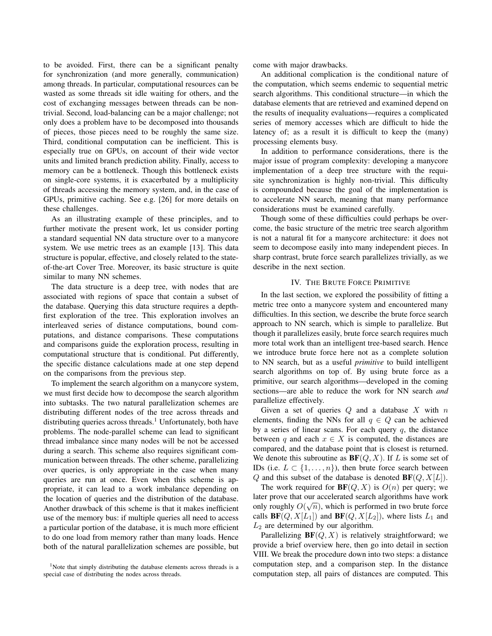to be avoided. First, there can be a significant penalty for synchronization (and more generally, communication) among threads. In particular, computational resources can be wasted as some threads sit idle waiting for others, and the cost of exchanging messages between threads can be nontrivial. Second, load-balancing can be a major challenge; not only does a problem have to be decomposed into thousands of pieces, those pieces need to be roughly the same size. Third, conditional computation can be inefficient. This is especially true on GPUs, on account of their wide vector units and limited branch prediction ability. Finally, access to memory can be a bottleneck. Though this bottleneck exists on single-core systems, it is exacerbated by a multiplicity of threads accessing the memory system, and, in the case of GPUs, primitive caching. See e.g. [26] for more details on these challenges.

As an illustrating example of these principles, and to further motivate the present work, let us consider porting a standard sequential NN data structure over to a manycore system. We use metric trees as an example [13]. This data structure is popular, effective, and closely related to the stateof-the-art Cover Tree. Moreover, its basic structure is quite similar to many NN schemes.

The data structure is a deep tree, with nodes that are associated with regions of space that contain a subset of the database. Querying this data structure requires a depthfirst exploration of the tree. This exploration involves an interleaved series of distance computations, bound computations, and distance comparisons. These computations and comparisons guide the exploration process, resulting in computational structure that is conditional. Put differently, the specific distance calculations made at one step depend on the comparisons from the previous step.

To implement the search algorithm on a manycore system, we must first decide how to decompose the search algorithm into subtasks. The two natural parallelization schemes are distributing different nodes of the tree across threads and distributing queries across threads.<sup>1</sup> Unfortunately, both have problems. The node-parallel scheme can lead to significant thread imbalance since many nodes will be not be accessed during a search. This scheme also requires significant communication between threads. The other scheme, parallelizing over queries, is only appropriate in the case when many queries are run at once. Even when this scheme is appropriate, it can lead to a work imbalance depending on the location of queries and the distribution of the database. Another drawback of this scheme is that it makes inefficient use of the memory bus: if multiple queries all need to access a particular portion of the database, it is much more efficient to do one load from memory rather than many loads. Hence both of the natural parallelization schemes are possible, but come with major drawbacks.

An additional complication is the conditional nature of the computation, which seems endemic to sequential metric search algorithms. This conditional structure—in which the database elements that are retrieved and examined depend on the results of inequality evaluations—requires a complicated series of memory accesses which are difficult to hide the latency of; as a result it is difficult to keep the (many) processing elements busy.

In addition to performance considerations, there is the major issue of program complexity: developing a manycore implementation of a deep tree structure with the requisite synchronization is highly non-trivial. This difficulty is compounded because the goal of the implementation is to accelerate NN search, meaning that many performance considerations must be examined carefully.

Though some of these difficulties could perhaps be overcome, the basic structure of the metric tree search algorithm is not a natural fit for a manycore architecture: it does not seem to decompose easily into many independent pieces. In sharp contrast, brute force search parallelizes trivially, as we describe in the next section.

# IV. THE BRUTE FORCE PRIMITIVE

In the last section, we explored the possibility of fitting a metric tree onto a manycore system and encountered many difficulties. In this section, we describe the brute force search approach to NN search, which is simple to parallelize. But though it parallelizes easily, brute force search requires much more total work than an intelligent tree-based search. Hence we introduce brute force here not as a complete solution to NN search, but as a useful *primitive* to build intelligent search algorithms on top of. By using brute force as a primitive, our search algorithms—developed in the coming sections—are able to reduce the work for NN search *and* parallelize effectively.

Given a set of queries  $Q$  and a database  $X$  with  $n$ elements, finding the NNs for all  $q \in Q$  can be achieved by a series of linear scans. For each query  $q$ , the distance between q and each  $x \in X$  is computed, the distances are compared, and the database point that is closest is returned. We denote this subroutine as  $BF(Q, X)$ . If L is some set of IDs (i.e.  $L \subset \{1, \ldots, n\}$ ), then brute force search between Q and this subset of the database is denoted  $BF(Q, X[L])$ .

The work required for  $BF(Q, X)$  is  $O(n)$  per query; we later prove that our accelerated search algorithms have work only roughly  $O(\sqrt{n})$ , which is performed in two brute force calls  $BF(Q, X[L_1])$  and  $BF(Q, X[L_2])$ , where lists  $L_1$  and  $L_2$  are determined by our algorithm.

Parallelizing  $BF(Q, X)$  is relatively straightforward; we provide a brief overview here, then go into detail in section VIII. We break the procedure down into two steps: a distance computation step, and a comparison step. In the distance computation step, all pairs of distances are computed. This

<sup>&</sup>lt;sup>1</sup>Note that simply distributing the database elements across threads is a special case of distributing the nodes across threads.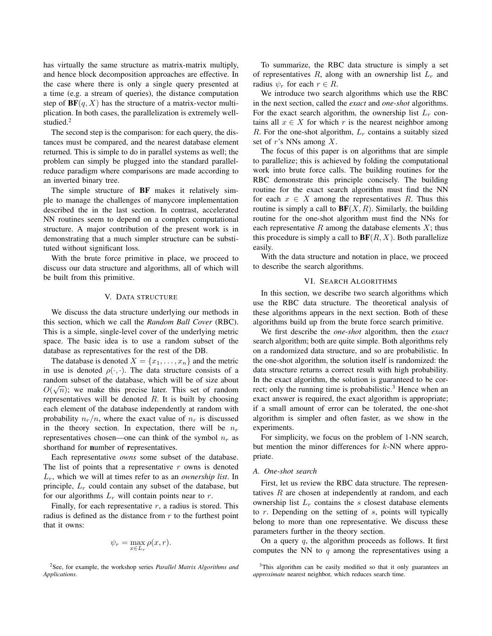has virtually the same structure as matrix-matrix multiply, and hence block decomposition approaches are effective. In the case where there is only a single query presented at a time (e.g. a stream of queries), the distance computation step of  $BF(q, X)$  has the structure of a matrix-vector multiplication. In both cases, the parallelization is extremely wellstudied.<sup>2</sup>

The second step is the comparison: for each query, the distances must be compared, and the nearest database element returned. This is simple to do in parallel systems as well; the problem can simply be plugged into the standard parallelreduce paradigm where comparisons are made according to an inverted binary tree.

The simple structure of BF makes it relatively simple to manage the challenges of manycore implementation described the in the last section. In contrast, accelerated NN routines seem to depend on a complex computational structure. A major contribution of the present work is in demonstrating that a much simpler structure can be substituted without significant loss.

With the brute force primitive in place, we proceed to discuss our data structure and algorithms, all of which will be built from this primitive.

# V. DATA STRUCTURE

We discuss the data structure underlying our methods in this section, which we call the *Random Ball Cover* (RBC). This is a simple, single-level cover of the underlying metric space. The basic idea is to use a random subset of the database as representatives for the rest of the DB.

The database is denoted  $X = \{x_1, \ldots, x_n\}$  and the metric in use is denoted  $\rho(\cdot, \cdot)$ . The data structure consists of a random subset of the database, which will be of size about  $\widehat{\mathcal{O}}(\sqrt{m})$  $O(\sqrt{n})$ ; we make this precise later. This set of random representatives will be denoted  $R$ . It is built by choosing each element of the database independently at random with probability  $n_r/n$ , where the exact value of  $n_r$  is discussed in the theory section. In expectation, there will be  $n_r$ representatives chosen—one can think of the symbol  $n_r$  as shorthand for number of representatives.

Each representative *owns* some subset of the database. The list of points that a representative  $r$  owns is denoted  $L_r$ , which we will at times refer to as an *ownership list*. In principle,  $L_r$  could contain any subset of the database, but for our algorithms  $L_r$  will contain points near to r.

Finally, for each representative  $r$ , a radius is stored. This radius is defined as the distance from  $r$  to the furthest point that it owns:

$$
\psi_r = \max_{x \in L_r} \rho(x, r).
$$

To summarize, the RBC data structure is simply a set of representatives  $R$ , along with an ownership list  $L_r$  and radius  $\psi_r$  for each  $r \in R$ .

We introduce two search algorithms which use the RBC in the next section, called the *exact* and *one-shot* algorithms. For the exact search algorithm, the ownership list  $L_r$  contains all  $x \in X$  for which r is the nearest neighbor among R. For the one-shot algorithm,  $L_r$  contains a suitably sized set of  $r$ 's NNs among  $X$ .

The focus of this paper is on algorithms that are simple to parallelize; this is achieved by folding the computational work into brute force calls. The building routines for the RBC demonstrate this principle concisely. The building routine for the exact search algorithm must find the NN for each  $x \in X$  among the representatives R. Thus this routine is simply a call to  $BF(X, R)$ . Similarly, the building routine for the one-shot algorithm must find the NNs for each representative  $R$  among the database elements  $X$ ; thus this procedure is simply a call to  $BF(R, X)$ . Both parallelize easily.

With the data structure and notation in place, we proceed to describe the search algorithms.

#### VI. SEARCH ALGORITHMS

In this section, we describe two search algorithms which use the RBC data structure. The theoretical analysis of these algorithms appears in the next section. Both of these algorithms build up from the brute force search primitive.

We first describe the *one-shot* algorithm, then the *exact* search algorithm; both are quite simple. Both algorithms rely on a randomized data structure, and so are probabilistic. In the one-shot algorithm, the solution itself is randomized: the data structure returns a correct result with high probability. In the exact algorithm, the solution is guaranteed to be correct; only the running time is probabilistic.<sup>3</sup> Hence when an exact answer is required, the exact algorithm is appropriate; if a small amount of error can be tolerated, the one-shot algorithm is simpler and often faster, as we show in the experiments.

For simplicity, we focus on the problem of 1-NN search, but mention the minor differences for  $k$ -NN where appropriate.

# *A. One-shot search*

First, let us review the RBC data structure. The representatives  $R$  are chosen at independently at random, and each ownership list  $L_r$  contains the s closest database elements to  $r$ . Depending on the setting of  $s$ , points will typically belong to more than one representative. We discuss these parameters further in the theory section.

On a query  $q$ , the algorithm proceeds as follows. It first computes the NN to  $q$  among the representatives using a

<sup>2</sup>See, for example, the workshop series *Parallel Matrix Algorithms and Applications*.

<sup>&</sup>lt;sup>3</sup>This algorithm can be easily modified so that it only guarantees an *approximate* nearest neighbor, which reduces search time.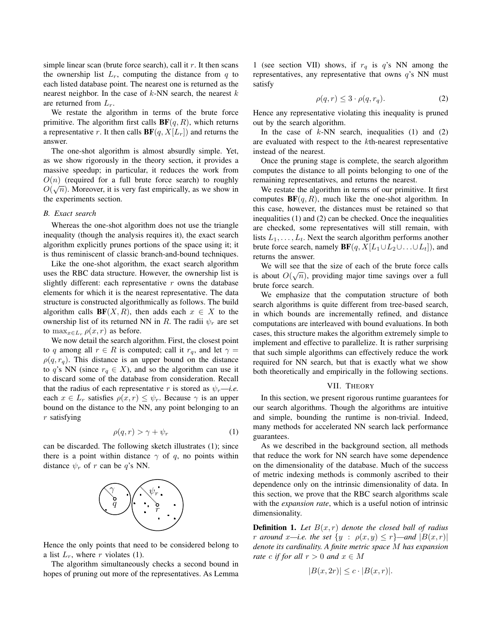simple linear scan (brute force search), call it  $r$ . It then scans the ownership list  $L_r$ , computing the distance from  $q$  to each listed database point. The nearest one is returned as the nearest neighbor. In the case of  $k$ -NN search, the nearest  $k$ are returned from  $L_r$ .

We restate the algorithm in terms of the brute force primitive. The algorithm first calls  $BF(q, R)$ , which returns a representative r. It then calls  $BF(q, X[L_r])$  and returns the answer.

The one-shot algorithm is almost absurdly simple. Yet, as we show rigorously in the theory section, it provides a massive speedup; in particular, it reduces the work from  $O(n)$  (required for a full brute force search) to roughly  $O(\sqrt{n})$ . Moreover, it is very fast empirically, as we show in the experiments section.

#### *B. Exact search*

Whereas the one-shot algorithm does not use the triangle inequality (though the analysis requires it), the exact search algorithm explicitly prunes portions of the space using it; it is thus reminiscent of classic branch-and-bound techniques.

Like the one-shot algorithm, the exact search algorithm uses the RBC data structure. However, the ownership list is slightly different: each representative  $r$  owns the database elements for which it is the nearest representative. The data structure is constructed algorithmically as follows. The build algorithm calls  $BF(X, R)$ , then adds each  $x \in X$  to the ownership list of its returned NN in R. The radii  $\psi_r$  are set to  $\max_{x \in L_r} \rho(x, r)$  as before.

We now detail the search algorithm. First, the closest point to q among all  $r \in R$  is computed; call it  $r_q$ , and let  $\gamma =$  $\rho(q, r_q)$ . This distance is an upper bound on the distance to q's NN (since  $r_q \in X$ ), and so the algorithm can use it to discard some of the database from consideration. Recall that the radius of each representative r is stored as  $\psi_r$ —*i.e.* each  $x \in L_r$  satisfies  $\rho(x,r) \leq \psi_r$ . Because  $\gamma$  is an upper bound on the distance to the NN, any point belonging to an  $r$  satisfying

$$
\rho(q, r) > \gamma + \psi_r \tag{1}
$$

can be discarded. The following sketch illustrates (1); since there is a point within distance  $\gamma$  of q, no points within distance  $\psi_r$  of r can be q's NN.



Hence the only points that need to be considered belong to a list  $L_r$ , where r violates (1).

The algorithm simultaneously checks a second bound in hopes of pruning out more of the representatives. As Lemma

1 (see section VII) shows, if  $r_q$  is  $q$ 's NN among the representatives, any representative that owns  $q$ 's NN must satisfy

$$
\rho(q,r) \le 3 \cdot \rho(q,r_q). \tag{2}
$$

Hence any representative violating this inequality is pruned out by the search algorithm.

In the case of  $k$ -NN search, inequalities (1) and (2) are evaluated with respect to the kth-nearest representative instead of the nearest.

Once the pruning stage is complete, the search algorithm computes the distance to all points belonging to one of the remaining representatives, and returns the nearest.

We restate the algorithm in terms of our primitive. It first computes  $BF(q, R)$ , much like the one-shot algorithm. In this case, however, the distances must be retained so that inequalities (1) and (2) can be checked. Once the inequalities are checked, some representatives will still remain, with lists  $L_1, \ldots, L_t$ . Next the search algorithm performs another brute force search, namely  $BF(q, X[L_1 \cup L_2 \cup \ldots \cup L_t])$ , and returns the answer.

We will see that the size of each of the brute force calls we will see that the size of each of the blue force cans<br>is about  $O(\sqrt{n})$ , providing major time savings over a full brute force search.

We emphasize that the computation structure of both search algorithms is quite different from tree-based search, in which bounds are incrementally refined, and distance computations are interleaved with bound evaluations. In both cases, this structure makes the algorithm extremely simple to implement and effective to parallelize. It is rather surprising that such simple algorithms can effectively reduce the work required for NN search, but that is exactly what we show both theoretically and empirically in the following sections.

#### VII. THEORY

In this section, we present rigorous runtime guarantees for our search algorithms. Though the algorithms are intuitive and simple, bounding the runtime is non-trivial. Indeed, many methods for accelerated NN search lack performance guarantees.

As we described in the background section, all methods that reduce the work for NN search have some dependence on the dimensionality of the database. Much of the success of metric indexing methods is commonly ascribed to their dependence only on the intrinsic dimensionality of data. In this section, we prove that the RBC search algorithms scale with the *expansion rate*, which is a useful notion of intrinsic dimensionality.

Definition 1. *Let* B(x, r) *denote the closed ball of radius r around x*—*i.e.* the set  $\{y : \rho(x, y) \le r\}$ —and  $|B(x, r)|$ *denote its cardinality. A finite metric space* M *has expansion rate* c *if for all*  $r > 0$  *and*  $x \in M$ 

$$
|B(x, 2r)| \le c \cdot |B(x, r)|.
$$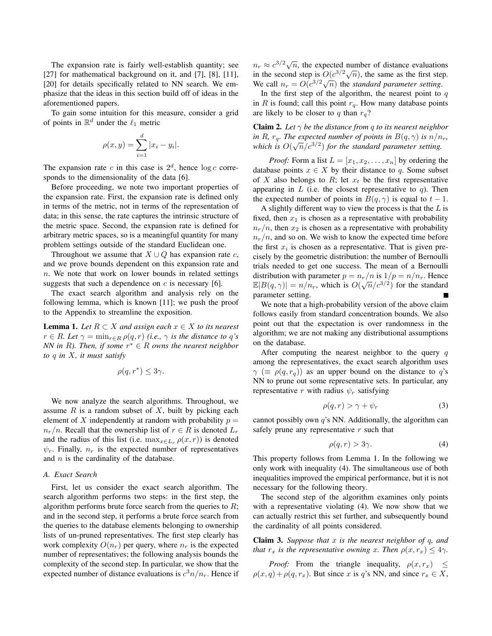The expansion rate is fairly well-establish quantity; see  $[27]$  for mathematical background on it, and  $[7]$ ,  $[8]$ ,  $[11]$ , [20] for details specifically related to NN search. We emphasize that the ideas in this section build off of ideas in the aforementioned papers.

To gain some intuition for this measure, consider a grid of points in  $\mathbb{R}^d$  under the  $\ell_1$  metric

$$
\rho(x, y) = \sum_{i=1}^{d} |x_i - y_i|.
$$

The expansion rate c in this case is  $2^d$ , hence  $\log c$  corresponds to the dimensionality of the data [6].

Before proceeding, we note two important properties of the expansion rate. First, the expansion rate is defined only in terms of the metric, not in terms of the representation of data; in this sense, the rate captures the intrinsic structure of the metric space. Second, the expansion rate is defined for arbitrary metric spaces, so is a meaningful quantity for many problem settings outside of the standard Euclidean one.

Throughout we assume that  $X \cup Q$  has expansion rate c, and we prove bounds dependent on this expansion rate and n. We note that work on lower bounds in related settings suggests that such a dependence on  $c$  is necessary [6].

The exact search algorithm and analysis rely on the following lemma, which is known [11]; we push the proof to the Appendix to streamline the exposition.

**Lemma 1.** *Let*  $R ⊂ X$  *and assign each*  $x ∈ X$  *to its nearest*  $r \in R$ *. Let*  $\gamma = \min_{r \in R} \rho(q, r)$  *(i.e.,*  $\gamma$  *is the distance to q's NN* in  $R$ ). Then, if some  $r^* \in R$  owns the nearest neighbor *to* q *in* X*, it must satisfy*

$$
\rho(q, r^*) \le 3\gamma.
$$

We now analyze the search algorithms. Throughout, we assume  $R$  is a random subset of  $X$ , built by picking each element of X independently at random with probability  $p =$  $n_r/n$ . Recall that the ownership list of  $r \in R$  is denoted  $L_r$ and the radius of this list (i.e.  $\max_{x \in L_r} \rho(x, r)$ ) is denoted  $\psi_r$ . Finally,  $n_r$  is the expected number of representatives and  $n$  is the cardinality of the database.

#### *A. Exact Search*

First, let us consider the exact search algorithm. The search algorithm performs two steps: in the first step, the algorithm performs brute force search from the queries to  $R$ ; and in the second step, it performs a brute force search from the queries to the database elements belonging to ownership lists of un-pruned representatives. The first step clearly has work complexity  $O(n_r)$  per query, where  $n_r$  is the expected number of representatives; the following analysis bounds the complexity of the second step. In particular, we show that the expected number of distance evaluations is  $c^3n/n_r$ . Hence if  $n_r \approx c^{3/2}\sqrt{n}$ , the expected number of distance evaluations  $n_r \approx c \sqrt{n}$ , the expected number of distance evaluations<br>in the second step is  $O(c^{3/2}\sqrt{n})$ , the same as the first step. In the second step is  $O(e^{\gamma t} \sqrt{n})$ , the same as the first step<br>We call  $n_r = O(e^{3/2}\sqrt{n})$  the *standard parameter setting*.

In the first step of the algorithm, the nearest point to  $q$ in R is found; call this point  $r_q$ . How many database points are likely to be closer to q than  $r_q$ ?

Claim 2. *Let* γ *be the distance from* q *to its nearest neighbor in* R,  $r_q$ . The expected number of points in  $B(q, \gamma)$  is  $n/n_r$ , which is  $O(\sqrt{n}/c^{3/2})$  *for the standard parameter setting.* 

*Proof:* Form a list  $L = [x_1, x_2, \dots, x_n]$  by ordering the database points  $x \in X$  by their distance to q. Some subset of X also belongs to R; let  $x_t$  be the first representative appearing in  $L$  (i.e. the closest representative to  $q$ ). Then the expected number of points in  $B(q, \gamma)$  is equal to  $t - 1$ .

A slightly different way to view the process is that the  $L$  is fixed, then  $x_1$  is chosen as a representative with probability  $n_r/n$ , then  $x_2$  is chosen as a representative with probability  $n_r/n$ , and so on. We wish to know the expected time before the first  $x_i$  is chosen as a representative. That is given precisely by the geometric distribution: the number of Bernoulli trials needed to get one success. The mean of a Bernoulli distribution with parameter  $p = n_r/n$  is  $1/p = n/n_r$ . Hence  $\mathbb{E}|B(q,\gamma)| = n/n_r$ , which is  $O(\sqrt{n}/c^{3/2})$  for the standard parameter setting.

We note that a high-probability version of the above claim follows easily from standard concentration bounds. We also point out that the expectation is over randomness in the algorithm; we are not making any distributional assumptions on the database.

After computing the nearest neighbor to the query  $q$ among the representatives, the exact search algorithm uses  $\gamma$  ( $\equiv \rho(q, r_q)$ ) as an upper bound on the distance to q's NN to prune out some representative sets. In particular, any representative r with radius  $\psi_r$  satisfying

$$
\rho(q, r) > \gamma + \psi_r \tag{3}
$$

cannot possibly own q's NN. Additionally, the algorithm can safely prune any representative  $r$  such that

$$
\rho(q, r) > 3\gamma. \tag{4}
$$

This property follows from Lemma 1. In the following we only work with inequality (4). The simultaneous use of both inequalities improved the empirical performance, but it is not necessary for the following theory.

The second step of the algorithm examines only points with a representative violating (4). We now show that we can actually restrict this set further, and subsequently bound the cardinality of all points considered.

Claim 3. *Suppose that* x *is the nearest neighbor of* q*, and that*  $r_x$  *is the representative owning* x*. Then*  $\rho(x, r_x) \leq 4\gamma$ .

*Proof:* From the triangle inequality,  $\rho(x, r_x) \leq$  $\rho(x, q) + \rho(q, r_x)$ . But since x is q's NN, and since  $r_x \in X$ ,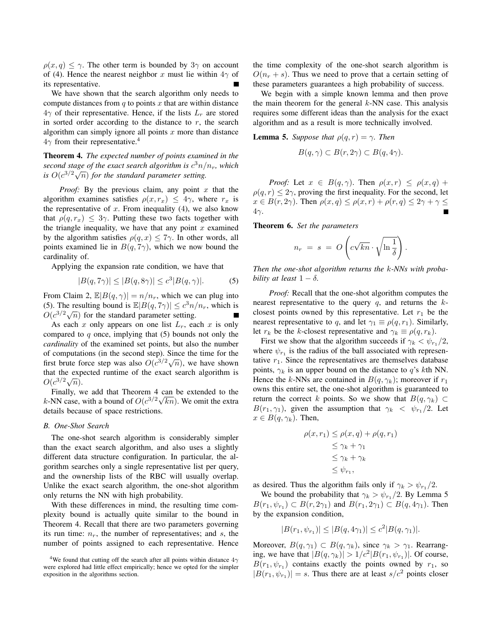$\rho(x, q) \leq \gamma$ . The other term is bounded by  $3\gamma$  on account of (4). Hence the nearest neighbor x must lie within  $4\gamma$  of its representative.

We have shown that the search algorithm only needs to compute distances from  $q$  to points  $x$  that are within distance  $4\gamma$  of their representative. Hence, if the lists  $L_r$  are stored in sorted order according to the distance to  $r$ , the search algorithm can simply ignore all points  $x$  more than distance  $4\gamma$  from their representative.<sup>4</sup>

Theorem 4. *The expected number of points examined in the*  $second\ stage\ of\ the\ exact\ search\ algorithm\ is\ c^3n/n_r, \ which$ *second stage of the exact search digorium is*  $c<sup>n</sup>/$  *is*  $O(c<sup>3/2</sup>\sqrt{n})$  *for the standard parameter setting.* 

*Proof:* By the previous claim, any point  $x$  that the algorithm examines satisfies  $\rho(x, r_x) \leq 4\gamma$ , where  $r_x$  is the representative of  $x$ . From inequality (4), we also know that  $\rho(q, r_x) \leq 3\gamma$ . Putting these two facts together with the triangle inequality, we have that any point  $x$  examined by the algorithm satisfies  $\rho(q, x) \leq 7\gamma$ . In other words, all points examined lie in  $B(q, 7\gamma)$ , which we now bound the cardinality of.

Applying the expansion rate condition, we have that

$$
|B(q,7\gamma)| \le |B(q,8\gamma)| \le c^3 |B(q,\gamma)|. \tag{5}
$$

From Claim 2,  $\mathbb{E}|B(q, \gamma)| = n/n_r$ , which we can plug into (5). The resulting bound is  $\mathbb{E}|B(q, 7\gamma)| \leq c^3 n/n_r$ , which is (5). The resulting bound is  $\mathbb{E}[D(q, t\gamma)] \leq c \gamma t$ <br> $O(c^{3/2}\sqrt{n})$  for the standard parameter setting.

As each x only appears on one list  $L_r$ , each x is only compared to  $q$  once, implying that  $(5)$  bounds not only the *cardinality* of the examined set points, but also the number of computations (in the second step). Since the time for the of computations (in the second step). Since the time for the first brute force step was also  $O(c^{3/2}\sqrt{n})$ , we have shown that the expected runtime of the exact search algorithm is  $O(c^{3/2}\sqrt{n}).$ 

Finally, we add that Theorem 4 can be extended to the k-NN case, with a bound of  $O(c^{3/2}\sqrt{kn})$ . We omit the extra details because of space restrictions.

#### *B. One-Shot Search*

The one-shot search algorithm is considerably simpler than the exact search algorithm, and also uses a slightly different data structure configuration. In particular, the algorithm searches only a single representative list per query, and the ownership lists of the RBC will usually overlap. Unlike the exact search algorithm, the one-shot algorithm only returns the NN with high probability.

With these differences in mind, the resulting time complexity bound is actually quite similar to the bound in Theorem 4. Recall that there are two parameters governing its run time:  $n_r$ , the number of representatives; and s, the number of points assigned to each representative. Hence the time complexity of the one-shot search algorithm is  $O(n_r + s)$ . Thus we need to prove that a certain setting of these parameters guarantees a high probability of success.

We begin with a simple known lemma and then prove the main theorem for the general  $k$ -NN case. This analysis requires some different ideas than the analysis for the exact algorithm and as a result is more technically involved.

**Lemma 5.** *Suppose that*  $\rho(q, r) = \gamma$ *. Then* 

$$
B(q, \gamma) \subset B(r, 2\gamma) \subset B(q, 4\gamma).
$$

*Proof:* Let  $x \in B(q, \gamma)$ . Then  $\rho(x, r) \leq \rho(x, q)$  +  $\rho(q, r) \leq 2\gamma$ , proving the first inequality. For the second, let  $x \in B(r, 2\gamma)$ . Then  $\rho(x, q) \leq \rho(x, r) + \rho(r, q) \leq 2\gamma + \gamma \leq$ 4γ.

Theorem 6. *Set the parameters*

$$
n_r = s = O\left(c\sqrt{kn} \cdot \sqrt{\ln \frac{1}{\delta}}\right).
$$

*Then the one-shot algorithm returns the* k*-NNs with probability at least*  $1 - \delta$ *.* 

*Proof:* Recall that the one-shot algorithm computes the nearest representative to the query  $q$ , and returns the  $k$ closest points owned by this representative. Let  $r_1$  be the nearest representative to q, and let  $\gamma_1 \equiv \rho(q, r_1)$ . Similarly, let  $r_k$  be the k-closest representative and  $\gamma_k \equiv \rho(q, r_k)$ .

First we show that the algorithm succeeds if  $\gamma_k < \psi_{r_1}/2$ , where  $\psi_{r_1}$  is the radius of the ball associated with representative  $r_1$ . Since the representatives are themselves database points,  $\gamma_k$  is an upper bound on the distance to q's kth NN. Hence the k-NNs are contained in  $B(q, \gamma_k)$ ; moreover if  $r_1$ owns this entire set, the one-shot algorithm is guaranteed to return the correct k points. So we show that  $B(q, \gamma_k) \subset$  $B(r_1, \gamma_1)$ , given the assumption that  $\gamma_k < \psi_{r_1}/2$ . Let  $x \in B(q, \gamma_k)$ . Then,

$$
\rho(x, r_1) \leq \rho(x, q) + \rho(q, r_1)
$$
  
\n
$$
\leq \gamma_k + \gamma_1
$$
  
\n
$$
\leq \gamma_k + \gamma_k
$$
  
\n
$$
\leq \psi_{r_1},
$$

as desired. Thus the algorithm fails only if  $\gamma_k > \psi_{r_1}/2$ .

We bound the probability that  $\gamma_k > \psi_{r_1}/2$ . By Lemma 5  $B(r_1, \psi_{r_1}) \subset B(r, 2\gamma_1)$  and  $B(r_1, 2\gamma_1) \subset B(q, 4\gamma_1)$ . Then by the expansion condition,

$$
|B(r_1, \psi_{r_1})| \leq |B(q, 4\gamma_1)| \leq c^2 |B(q, \gamma_1)|.
$$

Moreover,  $B(q, \gamma_1) \subset B(q, \gamma_k)$ , since  $\gamma_k > \gamma_1$ . Rearranging, we have that  $|B(q, \gamma_k)| > 1/c^2 |B(r_1, \psi_{r_1})|$ . Of course,  $B(r_1, \psi_{r_1})$  contains exactly the points owned by  $r_1$ , so  $|B(r_1, \psi_{r_1})| = s$ . Thus there are at least  $s/c^2$  points closer

<sup>&</sup>lt;sup>4</sup>We found that cutting off the search after all points within distance  $4\gamma$ were explored had little effect empirically; hence we opted for the simpler exposition in the algorithms section.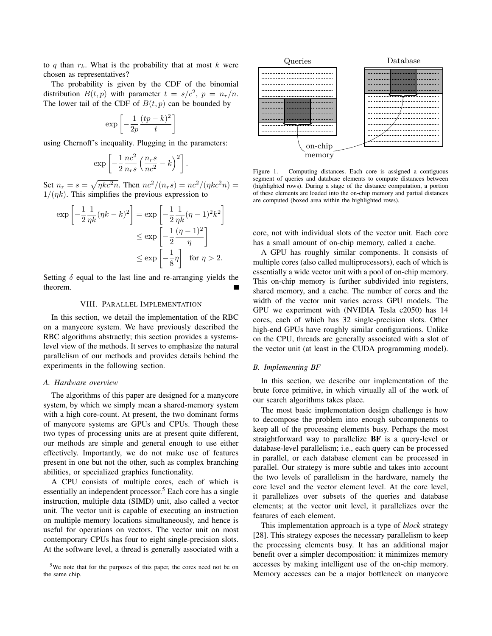to q than  $r_k$ . What is the probability that at most k were chosen as representatives?

The probability is given by the CDF of the binomial distribution  $B(t, p)$  with parameter  $t = s/c^2$ ,  $p = n_r/n$ . The lower tail of the CDF of  $B(t, p)$  can be bounded by

$$
\exp\left[-\frac{1}{2p}\frac{(tp-k)^2}{t}\right]
$$

using Chernoff's inequality. Plugging in the parameters:

$$
\exp\left[-\frac{1}{2}\frac{nc^2}{n_r s}\left(\frac{n_r s}{nc^2} - k\right)^2\right]
$$

.

Set  $n_r = s = \sqrt{\eta k c^2 n}$ . Then  $n c^2 / (n_r s) = n c^2 / (\eta k c^2 n) =$  $1/(\eta k)$ . This simplifies the previous expression to

$$
\exp\left[-\frac{1}{2}\frac{1}{\eta k}(\eta k - k)^2\right] = \exp\left[-\frac{1}{2}\frac{1}{\eta k}(\eta - 1)^2 k^2\right]
$$

$$
\leq \exp\left[-\frac{1}{2}\frac{(\eta - 1)^2}{\eta}\right]
$$

$$
\leq \exp\left[-\frac{1}{8}\eta\right] \quad \text{for } \eta > 2.
$$

Setting  $\delta$  equal to the last line and re-arranging yields the theorem.

### VIII. PARALLEL IMPLEMENTATION

In this section, we detail the implementation of the RBC on a manycore system. We have previously described the RBC algorithms abstractly; this section provides a systemslevel view of the methods. It serves to emphasize the natural parallelism of our methods and provides details behind the experiments in the following section.

### *A. Hardware overview*

The algorithms of this paper are designed for a manycore system, by which we simply mean a shared-memory system with a high core-count. At present, the two dominant forms of manycore systems are GPUs and CPUs. Though these two types of processing units are at present quite different, our methods are simple and general enough to use either effectively. Importantly, we do not make use of features present in one but not the other, such as complex branching abilities, or specialized graphics functionality.

A CPU consists of multiple cores, each of which is essentially an independent processor.<sup>5</sup> Each core has a single instruction, multiple data (SIMD) unit, also called a vector unit. The vector unit is capable of executing an instruction on multiple memory locations simultaneously, and hence is useful for operations on vectors. The vector unit on most contemporary CPUs has four to eight single-precision slots. At the software level, a thread is generally associated with a



Figure 1. Computing distances. Each core is assigned a contiguous segment of queries and database elements to compute distances between (highlighted rows). During a stage of the distance computation, a portion of these elements are loaded into the on-chip memory and partial distances are computed (boxed area within the highlighted rows).

core, not with individual slots of the vector unit. Each core has a small amount of on-chip memory, called a cache.

A GPU has roughly similar components. It consists of multiple cores (also called multiprocessors), each of which is essentially a wide vector unit with a pool of on-chip memory. This on-chip memory is further subdivided into registers, shared memory, and a cache. The number of cores and the width of the vector unit varies across GPU models. The GPU we experiment with (NVIDIA Tesla c2050) has 14 cores, each of which has 32 single-precision slots. Other high-end GPUs have roughly similar configurations. Unlike on the CPU, threads are generally associated with a slot of the vector unit (at least in the CUDA programming model).

## *B. Implementing BF*

In this section, we describe our implementation of the brute force primitive, in which virtually all of the work of our search algorithms takes place.

The most basic implementation design challenge is how to decompose the problem into enough subcomponents to keep all of the processing elements busy. Perhaps the most straightforward way to parallelize BF is a query-level or database-level parallelism; i.e., each query can be processed in parallel, or each database element can be processed in parallel. Our strategy is more subtle and takes into account the two levels of parallelism in the hardware, namely the core level and the vector element level. At the core level, it parallelizes over subsets of the queries and database elements; at the vector unit level, it parallelizes over the features of each element.

This implementation approach is a type of *block* strategy [28]. This strategy exposes the necessary parallelism to keep the processing elements busy. It has an additional major benefit over a simpler decomposition: it minimizes memory accesses by making intelligent use of the on-chip memory. Memory accesses can be a major bottleneck on manycore

<sup>5</sup>We note that for the purposes of this paper, the cores need not be on the same chip.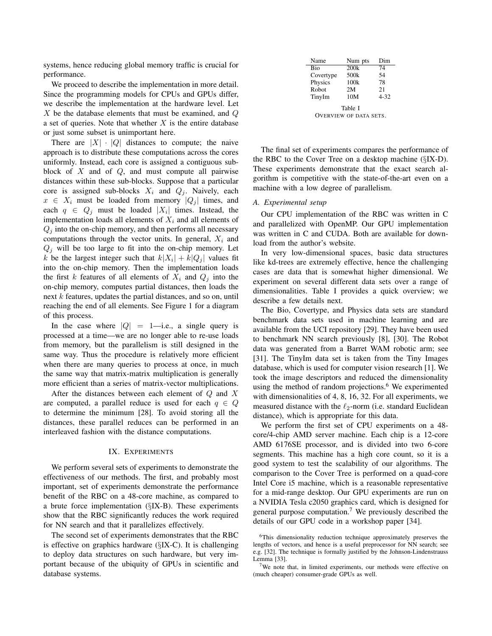systems, hence reducing global memory traffic is crucial for performance.

We proceed to describe the implementation in more detail. Since the programming models for CPUs and GPUs differ, we describe the implementation at the hardware level. Let  $X$  be the database elements that must be examined, and  $Q$ a set of queries. Note that whether  $X$  is the entire database or just some subset is unimportant here.

There are  $|X| \cdot |Q|$  distances to compute; the naive approach is to distribute these computations across the cores uniformly. Instead, each core is assigned a contiguous subblock of  $X$  and of  $Q$ , and must compute all pairwise distances within these sub-blocks. Suppose that a particular core is assigned sub-blocks  $X_i$  and  $Q_j$ . Naively, each  $x \in X_i$  must be loaded from memory  $|Q_i|$  times, and each  $q \in Q_j$  must be loaded  $|X_i|$  times. Instead, the implementation loads all elements of  $X_i$  and all elements of  $Q_j$  into the on-chip memory, and then performs all necessary computations through the vector units. In general,  $X_i$  and  $Q_i$  will be too large to fit into the on-chip memory. Let k be the largest integer such that  $k|X_i| + k|Q_j|$  values fit into the on-chip memory. Then the implementation loads the first k features of all elements of  $X_i$  and  $Q_i$  into the on-chip memory, computes partial distances, then loads the next k features, updates the partial distances, and so on, until reaching the end of all elements. See Figure 1 for a diagram of this process.

In the case where  $|Q| = 1$ —i.e., a single query is processed at a time—we are no longer able to re-use loads from memory, but the parallelism is still designed in the same way. Thus the procedure is relatively more efficient when there are many queries to process at once, in much the same way that matrix-matrix multiplication is generally more efficient than a series of matrix-vector multiplications.

After the distances between each element of  $Q$  and  $X$ are computed, a parallel reduce is used for each  $q \in Q$ to determine the minimum [28]. To avoid storing all the distances, these parallel reduces can be performed in an interleaved fashion with the distance computations.

### IX. EXPERIMENTS

We perform several sets of experiments to demonstrate the effectiveness of our methods. The first, and probably most important, set of experiments demonstrate the performance benefit of the RBC on a 48-core machine, as compared to a brute force implementation (§IX-B). These experiments show that the RBC significantly reduces the work required for NN search and that it parallelizes effectively.

The second set of experiments demonstrates that the RBC is effective on graphics hardware  $(\SIX-C)$ . It is challenging to deploy data structures on such hardware, but very important because of the ubiquity of GPUs in scientific and database systems.

| Name                          | Num pts          | Dim      |  |
|-------------------------------|------------------|----------|--|
| <b>Bio</b>                    | 200 <sub>k</sub> | 74       |  |
| Covertype                     | 500 <sub>k</sub> | 54       |  |
| Physics                       | 100k             | 78       |  |
| Robot                         | 2M               | 21       |  |
| TinyIm                        | 10M              | $4 - 32$ |  |
| Table I                       |                  |          |  |
| <b>OVERVIEW OF DATA SETS.</b> |                  |          |  |

The final set of experiments compares the performance of the RBC to the Cover Tree on a desktop machine (§IX-D). These experiments demonstrate that the exact search algorithm is competitive with the state-of-the-art even on a machine with a low degree of parallelism.

### *A. Experimental setup*

Our CPU implementation of the RBC was written in C and parallelized with OpenMP. Our GPU implementation was written in C and CUDA. Both are available for download from the author's website.

In very low-dimensional spaces, basic data structures like kd-trees are extremely effective, hence the challenging cases are data that is somewhat higher dimensional. We experiment on several different data sets over a range of dimensionalities. Table I provides a quick overview; we describe a few details next.

The Bio, Covertype, and Physics data sets are standard benchmark data sets used in machine learning and are available from the UCI repository [29]. They have been used to benchmark NN search previously [8], [30]. The Robot data was generated from a Barret WAM robotic arm; see [31]. The TinyIm data set is taken from the Tiny Images database, which is used for computer vision research [1]. We took the image descriptors and reduced the dimensionality using the method of random projections. $6$  We experimented with dimensionalities of 4, 8, 16, 32. For all experiments, we measured distance with the  $\ell_2$ -norm (i.e. standard Euclidean distance), which is appropriate for this data.

We perform the first set of CPU experiments on a 48 core/4-chip AMD server machine. Each chip is a 12-core AMD 6176SE processor, and is divided into two 6-core segments. This machine has a high core count, so it is a good system to test the scalability of our algorithms. The comparison to the Cover Tree is performed on a quad-core Intel Core i5 machine, which is a reasonable representative for a mid-range desktop. Our GPU experiments are run on a NVIDIA Tesla c2050 graphics card, which is designed for general purpose computation.<sup>7</sup> We previously described the details of our GPU code in a workshop paper [34].

<sup>6</sup>This dimensionality reduction technique approximately preserves the lengths of vectors, and hence is a useful preprocessor for NN search; see e.g. [32]. The technique is formally justified by the Johnson-Lindenstrauss Lemma [33].

<sup>&</sup>lt;sup>7</sup>We note that, in limited experiments, our methods were effective on (much cheaper) consumer-grade GPUs as well.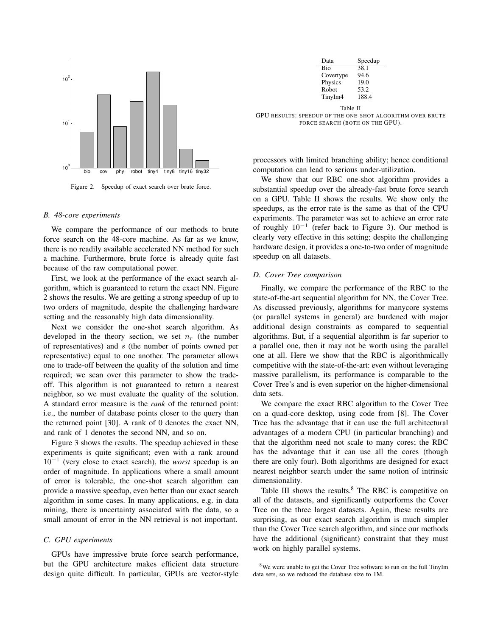

Figure 2. Speedup of exact search over brute force.

### *B. 48-core experiments*

We compare the performance of our methods to brute force search on the 48-core machine. As far as we know, there is no readily available accelerated NN method for such a machine. Furthermore, brute force is already quite fast because of the raw computational power.

First, we look at the performance of the exact search algorithm, which is guaranteed to return the exact NN. Figure 2 shows the results. We are getting a strong speedup of up to two orders of magnitude, despite the challenging hardware setting and the reasonably high data dimensionality.

Next we consider the one-shot search algorithm. As developed in the theory section, we set  $n_r$  (the number of representatives) and s (the number of points owned per representative) equal to one another. The parameter allows one to trade-off between the quality of the solution and time required; we scan over this parameter to show the tradeoff. This algorithm is not guaranteed to return a nearest neighbor, so we must evaluate the quality of the solution. A standard error measure is the *rank* of the returned point: i.e., the number of database points closer to the query than the returned point [30]. A rank of 0 denotes the exact NN, and rank of 1 denotes the second NN, and so on.

Figure 3 shows the results. The speedup achieved in these experiments is quite significant; even with a rank around 10<sup>−</sup><sup>1</sup> (very close to exact search), the *worst* speedup is an order of magnitude. In applications where a small amount of error is tolerable, the one-shot search algorithm can provide a massive speedup, even better than our exact search algorithm in some cases. In many applications, e.g. in data mining, there is uncertainty associated with the data, so a small amount of error in the NN retrieval is not important.

# *C. GPU experiments*

GPUs have impressive brute force search performance, but the GPU architecture makes efficient data structure design quite difficult. In particular, GPUs are vector-style

| Data      | Speedup |
|-----------|---------|
| Bio       | 38.1    |
| Covertype | 94.6    |
| Physics   | 19.0    |
| Robot     | 53.2    |
| TinyIm4   | 188.4   |

Table II GPU RESULTS: SPEEDUP OF THE ONE-SHOT ALGORITHM OVER BRUTE FORCE SEARCH (BOTH ON THE GPU).

processors with limited branching ability; hence conditional computation can lead to serious under-utilization.

We show that our RBC one-shot algorithm provides a substantial speedup over the already-fast brute force search on a GPU. Table II shows the results. We show only the speedups, as the error rate is the same as that of the CPU experiments. The parameter was set to achieve an error rate of roughly  $10^{-1}$  (refer back to Figure 3). Our method is clearly very effective in this setting; despite the challenging hardware design, it provides a one-to-two order of magnitude speedup on all datasets.

### *D. Cover Tree comparison*

Finally, we compare the performance of the RBC to the state-of-the-art sequential algorithm for NN, the Cover Tree. As discussed previously, algorithms for manycore systems (or parallel systems in general) are burdened with major additional design constraints as compared to sequential algorithms. But, if a sequential algorithm is far superior to a parallel one, then it may not be worth using the parallel one at all. Here we show that the RBC is algorithmically competitive with the state-of-the-art: even without leveraging massive parallelism, its performance is comparable to the Cover Tree's and is even superior on the higher-dimensional data sets.

We compare the exact RBC algorithm to the Cover Tree on a quad-core desktop, using code from [8]. The Cover Tree has the advantage that it can use the full architectural advantages of a modern CPU (in particular branching) and that the algorithm need not scale to many cores; the RBC has the advantage that it can use all the cores (though there are only four). Both algorithms are designed for exact nearest neighbor search under the same notion of intrinsic dimensionality.

Table III shows the results.<sup>8</sup> The RBC is competitive on all of the datasets, and significantly outperforms the Cover Tree on the three largest datasets. Again, these results are surprising, as our exact search algorithm is much simpler than the Cover Tree search algorithm, and since our methods have the additional (significant) constraint that they must work on highly parallel systems.

<sup>8</sup>We were unable to get the Cover Tree software to run on the full TinyIm data sets, so we reduced the database size to 1M.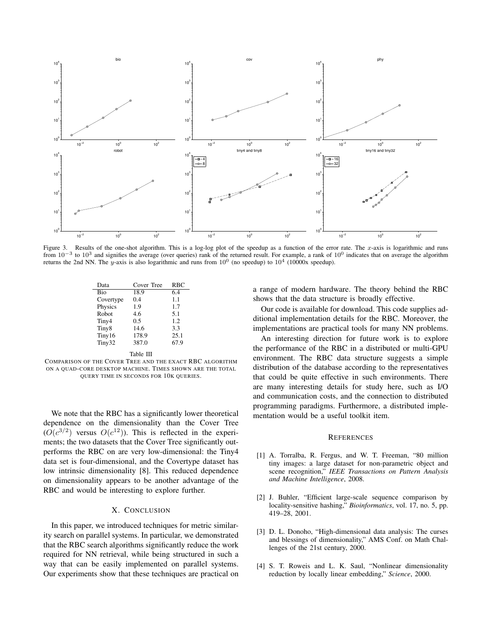

Figure 3. Results of the one-shot algorithm. This is a log-log plot of the speedup as a function of the error rate. The  $x$ -axis is logarithmic and runs from  $10^{-3}$  to  $10^{3}$  and signifies the average (over queries) rank of the returned result. For example, a rank of  $10^{0}$  indicates that on average the algorithm returns the 2nd NN. The y-axis is also logarithmic and runs from  $10^0$  (no speedup) to  $10^4$  (10000x speedup).

| Data              | Cover Tree | <b>RBC</b> |
|-------------------|------------|------------|
| <b>Bio</b>        | 18.9       | 6.4        |
| Covertype         | 0.4        | 1.1        |
| Physics           | 1.9        | 1.7        |
| Robot             | 4.6        | 5.1        |
| Tiny4             | 0.5        | 1.2        |
| Tiny <sub>8</sub> | 14.6       | 3.3        |
| Tiny16            | 178.9      | 25.1       |
| Tiny32            | 387.0      | 67.9       |
|                   |            |            |

Table III

COMPARISON OF THE COVER TREE AND THE EXACT RBC ALGORITHM ON A QUAD-CORE DESKTOP MACHINE. TIMES SHOWN ARE THE TOTAL QUERY TIME IN SECONDS FOR 10K QUERIES.

We note that the RBC has a significantly lower theoretical dependence on the dimensionality than the Cover Tree  $(O(c^{3/2})$  versus  $O(c^{12})$ ). This is reflected in the experiments; the two datasets that the Cover Tree significantly outperforms the RBC on are very low-dimensional: the Tiny4 data set is four-dimensional, and the Covertype dataset has low intrinsic dimensionality [8]. This reduced dependence on dimensionality appears to be another advantage of the RBC and would be interesting to explore further.

# X. CONCLUSION

In this paper, we introduced techniques for metric similarity search on parallel systems. In particular, we demonstrated that the RBC search algorithms significantly reduce the work required for NN retrieval, while being structured in such a way that can be easily implemented on parallel systems. Our experiments show that these techniques are practical on a range of modern hardware. The theory behind the RBC shows that the data structure is broadly effective.

Our code is available for download. This code supplies additional implementation details for the RBC. Moreover, the implementations are practical tools for many NN problems.

An interesting direction for future work is to explore the performance of the RBC in a distributed or multi-GPU environment. The RBC data structure suggests a simple distribution of the database according to the representatives that could be quite effective in such environments. There are many interesting details for study here, such as I/O and communication costs, and the connection to distributed programming paradigms. Furthermore, a distributed implementation would be a useful toolkit item.

## **REFERENCES**

- [1] A. Torralba, R. Fergus, and W. T. Freeman, "80 million tiny images: a large dataset for non-parametric object and scene recognition," *IEEE Transactions on Pattern Analysis and Machine Intelligence*, 2008.
- [2] J. Buhler, "Efficient large-scale sequence comparison by locality-sensitive hashing," *Bioinformatics*, vol. 17, no. 5, pp. 419–28, 2001.
- [3] D. L. Donoho, "High-dimensional data analysis: The curses and blessings of dimensionality," AMS Conf. on Math Challenges of the 21st century, 2000.
- [4] S. T. Roweis and L. K. Saul, "Nonlinear dimensionality reduction by locally linear embedding," *Science*, 2000.